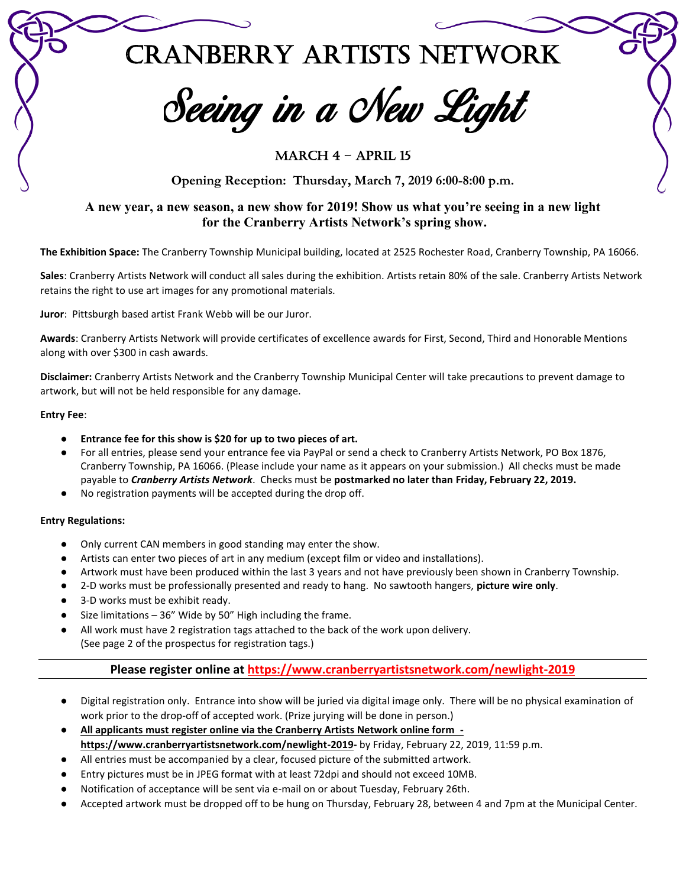Cranberry Artists Network

Seeing in a New Light

# MARCH 4 - APRIL 15

**Opening Reception: Thursday, March 7, 2019 6:00-8:00 p.m.**

# **A new year, a new season, a new show for 2019! Show us what you're seeing in a new light for the Cranberry Artists Network's spring show.**

**The Exhibition Space:** The Cranberry Township Municipal building, located at 2525 Rochester Road, Cranberry Township, PA 16066.

**Sales**: Cranberry Artists Network will conduct all sales during the exhibition. Artists retain 80% of the sale. Cranberry Artists Network retains the right to use art images for any promotional materials.

**Juror**: Pittsburgh based artist Frank Webb will be our Juror.

**Awards**: Cranberry Artists Network will provide certificates of excellence awards for First, Second, Third and Honorable Mentions along with over \$300 in cash awards.

**Disclaimer:** Cranberry Artists Network and the Cranberry Township Municipal Center will take precautions to prevent damage to artwork, but will not be held responsible for any damage.

#### **Entry Fee**:

- Entrance fee for this show is \$20 for up to two pieces of art.
- For all entries, please send your entrance fee via PayPal or send a check to Cranberry Artists Network, PO Box 1876, Cranberry Township, PA 16066. (Please include your name as it appears on your submission.) All checks must be made payable to *Cranberry Artists Network*. Checks must be **postmarked no later than Friday, February 22, 2019.**
- No registration payments will be accepted during the drop off.

#### **Entry Regulations:**

- Only current CAN members in good standing may enter the show.
- Artists can enter two pieces of art in any medium (except film or video and installations).
- Artwork must have been produced within the last 3 years and not have previously been shown in Cranberry Township.
- 2-D works must be professionally presented and ready to hang. No sawtooth hangers, **picture wire only**.
- 3-D works must be exhibit ready.
- Size limitations  $-36''$  Wide by 50" High including the frame.
- All work must have 2 registration tags attached to the back of the work upon delivery. (See page 2 of the prospectus for registration tags.)

## **Please register online at https://www.cranberryartistsnetwork.com/newlight-2019**

- Digital registration only. Entrance into show will be juried via digital image only. There will be no physical examination of work prior to the drop-off of accepted work. (Prize jurying will be done in person.)
- **All applicants must register online via the Cranberry Artists Network online form https://www.cranberryartistsnetwork.com/newlight-2019-** by Friday, February 22, 2019, 11:59 p.m.
- All entries must be accompanied by a clear, focused picture of the submitted artwork.
- Entry pictures must be in JPEG format with at least 72dpi and should not exceed 10MB.
- Notification of acceptance will be sent via e-mail on or about Tuesday, February 26th.
- Accepted artwork must be dropped off to be hung on Thursday, February 28, between 4 and 7pm at the Municipal Center.